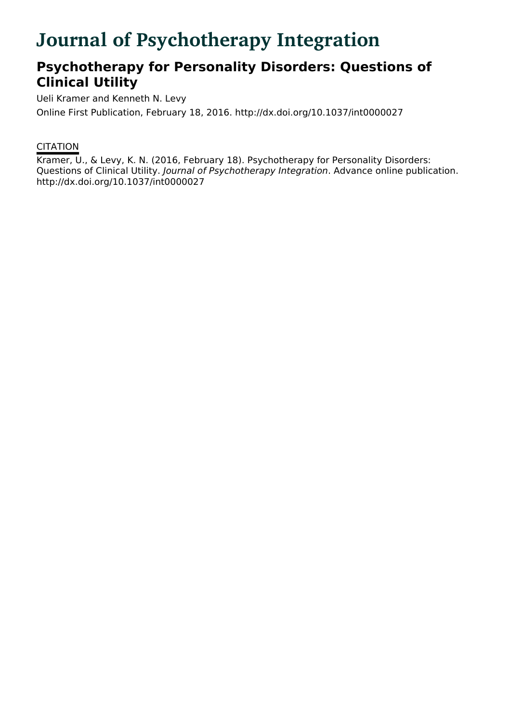# **Journal of Psychotherapy Integration**

# **Psychotherapy for Personality Disorders: Questions of Clinical Utility**

Ueli Kramer and Kenneth N. Levy Online First Publication, February 18, 2016. http://dx.doi.org/10.1037/int0000027

## **CITATION**

Kramer, U., & Levy, K. N. (2016, February 18). Psychotherapy for Personality Disorders: Questions of Clinical Utility. Journal of Psychotherapy Integration. Advance online publication. http://dx.doi.org/10.1037/int0000027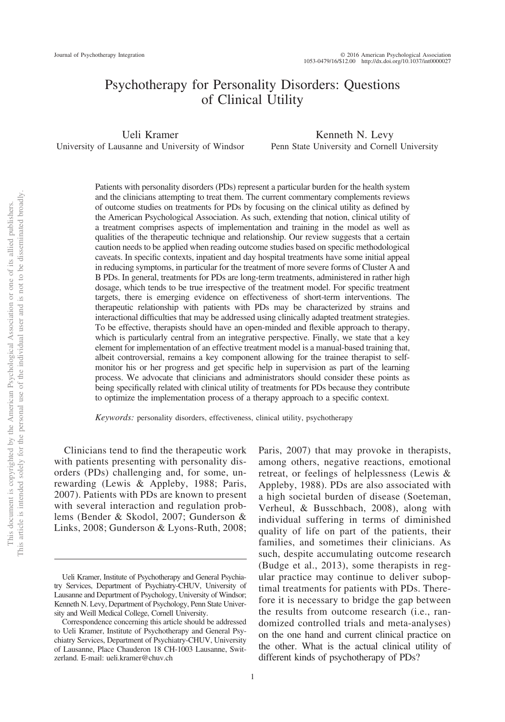### Psychotherapy for Personality Disorders: Questions of Clinical Utility

Ueli Kramer University of Lausanne and University of Windsor

Kenneth N. Levy Penn State University and Cornell University

Patients with personality disorders (PDs) represent a particular burden for the health system and the clinicians attempting to treat them. The current commentary complements reviews of outcome studies on treatments for PDs by focusing on the clinical utility as defined by the American Psychological Association. As such, extending that notion, clinical utility of a treatment comprises aspects of implementation and training in the model as well as qualities of the therapeutic technique and relationship. Our review suggests that a certain caution needs to be applied when reading outcome studies based on specific methodological caveats. In specific contexts, inpatient and day hospital treatments have some initial appeal in reducing symptoms, in particular for the treatment of more severe forms of Cluster A and B PDs. In general, treatments for PDs are long-term treatments, administered in rather high dosage, which tends to be true irrespective of the treatment model. For specific treatment targets, there is emerging evidence on effectiveness of short-term interventions. The therapeutic relationship with patients with PDs may be characterized by strains and interactional difficulties that may be addressed using clinically adapted treatment strategies. To be effective, therapists should have an open-minded and flexible approach to therapy, which is particularly central from an integrative perspective. Finally, we state that a key element for implementation of an effective treatment model is a manual-based training that, albeit controversial, remains a key component allowing for the trainee therapist to selfmonitor his or her progress and get specific help in supervision as part of the learning process. We advocate that clinicians and administrators should consider these points as being specifically related with clinical utility of treatments for PDs because they contribute to optimize the implementation process of a therapy approach to a specific context.

*Keywords:* personality disorders, effectiveness, clinical utility, psychotherapy

Clinicians tend to find the therapeutic work with patients presenting with personality disorders (PDs) challenging and, for some, unrewarding (Lewis & Appleby, 1988; Paris, 2007). Patients with PDs are known to present with several interaction and regulation problems (Bender & Skodol, 2007; Gunderson & Links, 2008; Gunderson & Lyons-Ruth, 2008; Paris, 2007) that may provoke in therapists, among others, negative reactions, emotional retreat, or feelings of helplessness (Lewis & Appleby, 1988). PDs are also associated with a high societal burden of disease (Soeteman, Verheul, & Busschbach, 2008), along with individual suffering in terms of diminished quality of life on part of the patients, their families, and sometimes their clinicians. As such, despite accumulating outcome research (Budge et al., 2013), some therapists in regular practice may continue to deliver suboptimal treatments for patients with PDs. Therefore it is necessary to bridge the gap between the results from outcome research (i.e., randomized controlled trials and meta-analyses) on the one hand and current clinical practice on the other. What is the actual clinical utility of different kinds of psychotherapy of PDs?

Ueli Kramer, Institute of Psychotherapy and General Psychiatry Services, Department of Psychiatry-CHUV, University of Lausanne and Department of Psychology, University of Windsor; Kenneth N. Levy, Department of Psychology, Penn State University and Weill Medical College, Cornell University.

Correspondence concerning this article should be addressed to Ueli Kramer, Institute of Psychotherapy and General Psychiatry Services, Department of Psychiatry-CHUV, University of Lausanne, Place Chauderon 18 CH-1003 Lausanne, Switzerland. E-mail: ueli.kramer@chuv.ch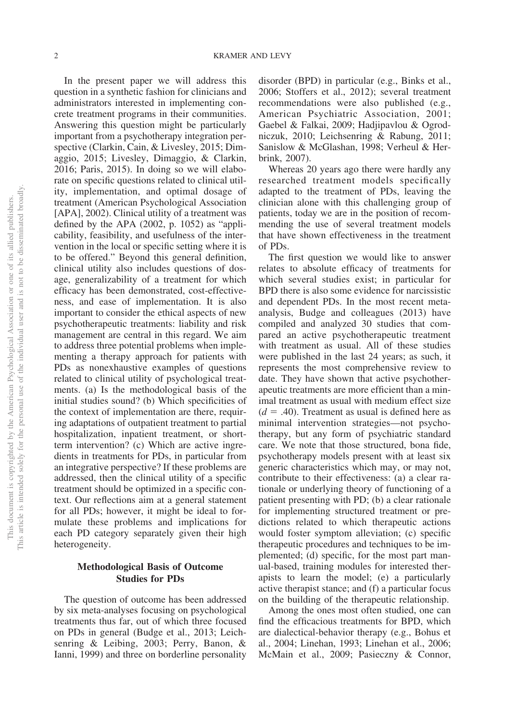In the present paper we will address this question in a synthetic fashion for clinicians and administrators interested in implementing concrete treatment programs in their communities. Answering this question might be particularly important from a psychotherapy integration perspective (Clarkin, Cain, & Livesley, 2015; Dimaggio, 2015; Livesley, Dimaggio, & Clarkin, 2016; Paris, 2015). In doing so we will elaborate on specific questions related to clinical utility, implementation, and optimal dosage of treatment (American Psychological Association [APA], 2002). Clinical utility of a treatment was defined by the APA (2002, p. 1052) as "applicability, feasibility, and usefulness of the intervention in the local or specific setting where it is to be offered." Beyond this general definition, clinical utility also includes questions of dosage, generalizability of a treatment for which efficacy has been demonstrated, cost-effectiveness, and ease of implementation. It is also important to consider the ethical aspects of new psychotherapeutic treatments: liability and risk management are central in this regard. We aim to address three potential problems when implementing a therapy approach for patients with PDs as nonexhaustive examples of questions related to clinical utility of psychological treatments. (a) Is the methodological basis of the initial studies sound? (b) Which specificities of the context of implementation are there, requiring adaptations of outpatient treatment to partial hospitalization, inpatient treatment, or shortterm intervention? (c) Which are active ingredients in treatments for PDs, in particular from an integrative perspective? If these problems are addressed, then the clinical utility of a specific treatment should be optimized in a specific context. Our reflections aim at a general statement for all PDs; however, it might be ideal to formulate these problems and implications for each PD category separately given their high heterogeneity.

#### **Methodological Basis of Outcome Studies for PDs**

The question of outcome has been addressed by six meta-analyses focusing on psychological treatments thus far, out of which three focused on PDs in general (Budge et al., 2013; Leichsenring & Leibing, 2003; Perry, Banon, & Ianni, 1999) and three on borderline personality disorder (BPD) in particular (e.g., Binks et al., 2006; Stoffers et al., 2012); several treatment recommendations were also published (e.g., American Psychiatric Association, 2001; Gaebel & Falkai, 2009; Hadjipavlou & Ogrodniczuk, 2010; Leichsenring & Rabung, 2011; Sanislow & McGlashan, 1998; Verheul & Herbrink, 2007).

Whereas 20 years ago there were hardly any researched treatment models specifically adapted to the treatment of PDs, leaving the clinician alone with this challenging group of patients, today we are in the position of recommending the use of several treatment models that have shown effectiveness in the treatment of PDs.

The first question we would like to answer relates to absolute efficacy of treatments for which several studies exist; in particular for BPD there is also some evidence for narcissistic and dependent PDs. In the most recent metaanalysis, Budge and colleagues (2013) have compiled and analyzed 30 studies that compared an active psychotherapeutic treatment with treatment as usual. All of these studies were published in the last 24 years; as such, it represents the most comprehensive review to date. They have shown that active psychotherapeutic treatments are more efficient than a minimal treatment as usual with medium effect size  $(d = .40)$ . Treatment as usual is defined here as minimal intervention strategies—not psychotherapy, but any form of psychiatric standard care. We note that those structured, bona fide, psychotherapy models present with at least six generic characteristics which may, or may not, contribute to their effectiveness: (a) a clear rationale or underlying theory of functioning of a patient presenting with PD; (b) a clear rationale for implementing structured treatment or predictions related to which therapeutic actions would foster symptom alleviation; (c) specific therapeutic procedures and techniques to be implemented; (d) specific, for the most part manual-based, training modules for interested therapists to learn the model; (e) a particularly active therapist stance; and (f) a particular focus on the building of the therapeutic relationship.

Among the ones most often studied, one can find the efficacious treatments for BPD, which are dialectical-behavior therapy (e.g., Bohus et al., 2004; Linehan, 1993; Linehan et al., 2006; McMain et al., 2009; Pasieczny & Connor,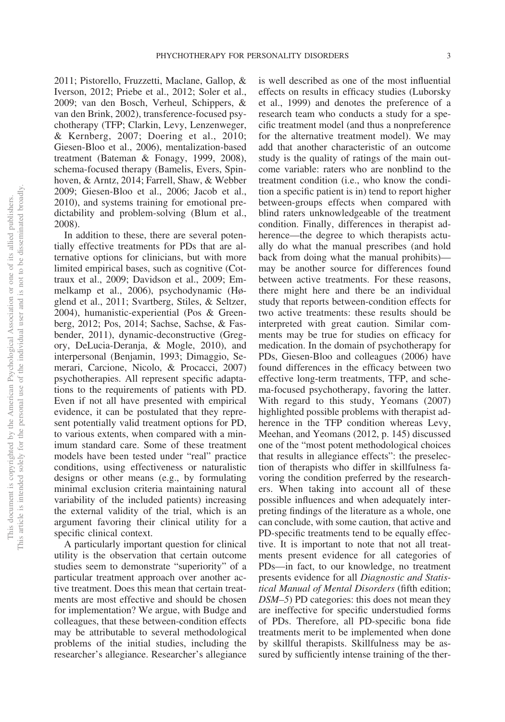2011; Pistorello, Fruzzetti, Maclane, Gallop, & Iverson, 2012; Priebe et al., 2012; Soler et al., 2009; van den Bosch, Verheul, Schippers, & van den Brink, 2002), transference-focused psychotherapy (TFP; Clarkin, Levy, Lenzenweger, & Kernberg, 2007; Doering et al., 2010; Giesen-Bloo et al., 2006), mentalization-based treatment (Bateman & Fonagy, 1999, 2008), schema-focused therapy (Bamelis, Evers, Spinhoven, & Arntz, 2014; Farrell, Shaw, & Webber 2009; Giesen-Bloo et al., 2006; Jacob et al., 2010), and systems training for emotional predictability and problem-solving (Blum et al., 2008).

In addition to these, there are several potentially effective treatments for PDs that are alternative options for clinicians, but with more limited empirical bases, such as cognitive (Cottraux et al., 2009; Davidson et al., 2009; Emmelkamp et al., 2006), psychodynamic (Høglend et al., 2011; Svartberg, Stiles, & Seltzer, 2004), humanistic-experiential (Pos & Greenberg, 2012; Pos, 2014; Sachse, Sachse, & Fasbender, 2011), dynamic-deconstructive (Gregory, DeLucia-Deranja, & Mogle, 2010), and interpersonal (Benjamin, 1993; Dimaggio, Semerari, Carcione, Nicolo, & Procacci, 2007) psychotherapies. All represent specific adaptations to the requirements of patients with PD. Even if not all have presented with empirical evidence, it can be postulated that they represent potentially valid treatment options for PD, to various extents, when compared with a minimum standard care. Some of these treatment models have been tested under "real" practice conditions, using effectiveness or naturalistic designs or other means (e.g., by formulating minimal exclusion criteria maintaining natural variability of the included patients) increasing the external validity of the trial, which is an argument favoring their clinical utility for a specific clinical context.

A particularly important question for clinical utility is the observation that certain outcome studies seem to demonstrate "superiority" of a particular treatment approach over another active treatment. Does this mean that certain treatments are most effective and should be chosen for implementation? We argue, with Budge and colleagues, that these between-condition effects may be attributable to several methodological problems of the initial studies, including the researcher's allegiance. Researcher's allegiance

is well described as one of the most influential effects on results in efficacy studies (Luborsky et al., 1999) and denotes the preference of a research team who conducts a study for a specific treatment model (and thus a nonpreference for the alternative treatment model). We may add that another characteristic of an outcome study is the quality of ratings of the main outcome variable: raters who are nonblind to the treatment condition (i.e., who know the condition a specific patient is in) tend to report higher between-groups effects when compared with blind raters unknowledgeable of the treatment condition. Finally, differences in therapist adherence—the degree to which therapists actually do what the manual prescribes (and hold back from doing what the manual prohibits) may be another source for differences found between active treatments. For these reasons, there might here and there be an individual study that reports between-condition effects for two active treatments: these results should be interpreted with great caution. Similar comments may be true for studies on efficacy for medication. In the domain of psychotherapy for PDs, Giesen-Bloo and colleagues (2006) have found differences in the efficacy between two effective long-term treatments, TFP, and schema-focused psychotherapy, favoring the latter. With regard to this study, Yeomans (2007) highlighted possible problems with therapist adherence in the TFP condition whereas Levy, Meehan, and Yeomans (2012, p. 145) discussed one of the "most potent methodological choices that results in allegiance effects": the preselection of therapists who differ in skillfulness favoring the condition preferred by the researchers. When taking into account all of these possible influences and when adequately interpreting findings of the literature as a whole, one can conclude, with some caution, that active and PD-specific treatments tend to be equally effective. It is important to note that not all treatments present evidence for all categories of PDs—in fact, to our knowledge, no treatment presents evidence for all *Diagnostic and Statistical Manual of Mental Disorders* (fifth edition; *DSM–5*) PD categories: this does not mean they are ineffective for specific understudied forms of PDs. Therefore, all PD-specific bona fide treatments merit to be implemented when done by skillful therapists. Skillfulness may be assured by sufficiently intense training of the ther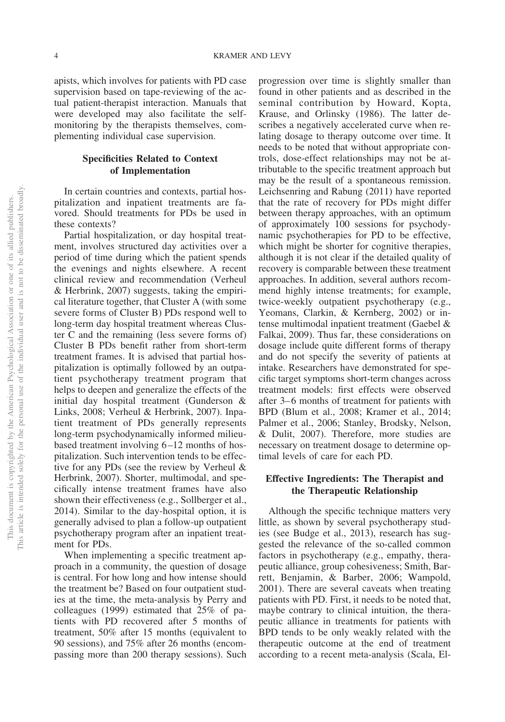apists, which involves for patients with PD case supervision based on tape-reviewing of the actual patient-therapist interaction. Manuals that were developed may also facilitate the selfmonitoring by the therapists themselves, complementing individual case supervision.

#### **Specificities Related to Context of Implementation**

In certain countries and contexts, partial hospitalization and inpatient treatments are favored. Should treatments for PDs be used in these contexts?

Partial hospitalization, or day hospital treatment, involves structured day activities over a period of time during which the patient spends the evenings and nights elsewhere. A recent clinical review and recommendation (Verheul & Herbrink, 2007) suggests, taking the empirical literature together, that Cluster A (with some severe forms of Cluster B) PDs respond well to long-term day hospital treatment whereas Cluster C and the remaining (less severe forms of) Cluster B PDs benefit rather from short-term treatment frames. It is advised that partial hospitalization is optimally followed by an outpatient psychotherapy treatment program that helps to deepen and generalize the effects of the initial day hospital treatment (Gunderson & Links, 2008; Verheul & Herbrink, 2007). Inpatient treatment of PDs generally represents long-term psychodynamically informed milieubased treatment involving  $6-12$  months of hospitalization. Such intervention tends to be effective for any PDs (see the review by Verheul & Herbrink, 2007). Shorter, multimodal, and specifically intense treatment frames have also shown their effectiveness (e.g., Sollberger et al., 2014). Similar to the day-hospital option, it is generally advised to plan a follow-up outpatient psychotherapy program after an inpatient treatment for PDs.

When implementing a specific treatment approach in a community, the question of dosage is central. For how long and how intense should the treatment be? Based on four outpatient studies at the time, the meta-analysis by Perry and colleagues (1999) estimated that 25% of patients with PD recovered after 5 months of treatment, 50% after 15 months (equivalent to 90 sessions), and 75% after 26 months (encompassing more than 200 therapy sessions). Such

progression over time is slightly smaller than found in other patients and as described in the seminal contribution by Howard, Kopta, Krause, and Orlinsky (1986). The latter describes a negatively accelerated curve when relating dosage to therapy outcome over time. It needs to be noted that without appropriate controls, dose-effect relationships may not be attributable to the specific treatment approach but may be the result of a spontaneous remission. Leichsenring and Rabung (2011) have reported that the rate of recovery for PDs might differ between therapy approaches, with an optimum of approximately 100 sessions for psychodynamic psychotherapies for PD to be effective, which might be shorter for cognitive therapies, although it is not clear if the detailed quality of recovery is comparable between these treatment approaches. In addition, several authors recommend highly intense treatments; for example, twice-weekly outpatient psychotherapy (e.g., Yeomans, Clarkin, & Kernberg, 2002) or intense multimodal inpatient treatment (Gaebel & Falkai, 2009). Thus far, these considerations on dosage include quite different forms of therapy and do not specify the severity of patients at intake. Researchers have demonstrated for specific target symptoms short-term changes across treatment models: first effects were observed after 3– 6 months of treatment for patients with BPD (Blum et al., 2008; Kramer et al., 2014; Palmer et al., 2006; Stanley, Brodsky, Nelson, & Dulit, 2007). Therefore, more studies are necessary on treatment dosage to determine optimal levels of care for each PD.

#### **Effective Ingredients: The Therapist and the Therapeutic Relationship**

Although the specific technique matters very little, as shown by several psychotherapy studies (see Budge et al., 2013), research has suggested the relevance of the so-called common factors in psychotherapy (e.g., empathy, therapeutic alliance, group cohesiveness; Smith, Barrett, Benjamin, & Barber, 2006; Wampold, 2001). There are several caveats when treating patients with PD. First, it needs to be noted that, maybe contrary to clinical intuition, the therapeutic alliance in treatments for patients with BPD tends to be only weakly related with the therapeutic outcome at the end of treatment according to a recent meta-analysis (Scala, El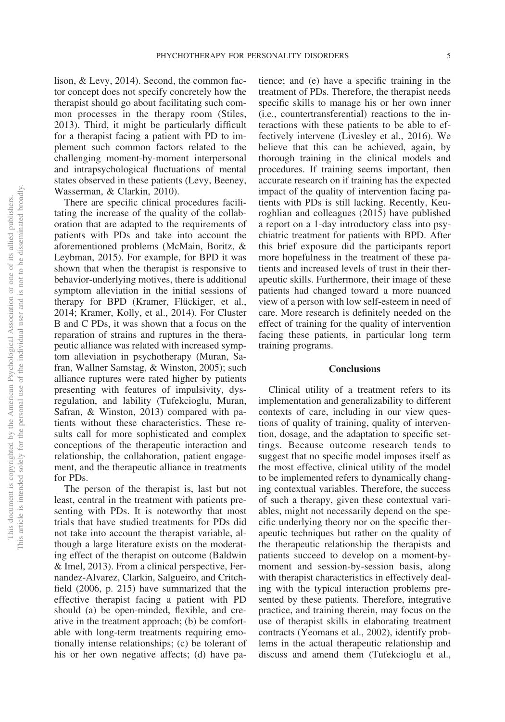lison, & Levy, 2014). Second, the common factor concept does not specify concretely how the therapist should go about facilitating such common processes in the therapy room (Stiles, 2013). Third, it might be particularly difficult for a therapist facing a patient with PD to implement such common factors related to the challenging moment-by-moment interpersonal and intrapsychological fluctuations of mental states observed in these patients (Levy, Beeney, Wasserman, & Clarkin, 2010).

There are specific clinical procedures facilitating the increase of the quality of the collaboration that are adapted to the requirements of patients with PDs and take into account the aforementioned problems (McMain, Boritz, & Leybman, 2015). For example, for BPD it was shown that when the therapist is responsive to behavior-underlying motives, there is additional symptom alleviation in the initial sessions of therapy for BPD (Kramer, Flückiger, et al., 2014; Kramer, Kolly, et al., 2014). For Cluster B and C PDs, it was shown that a focus on the reparation of strains and ruptures in the therapeutic alliance was related with increased symptom alleviation in psychotherapy (Muran, Safran, Wallner Samstag, & Winston, 2005); such alliance ruptures were rated higher by patients presenting with features of impulsivity, dysregulation, and lability (Tufekcioglu, Muran, Safran, & Winston, 2013) compared with patients without these characteristics. These results call for more sophisticated and complex conceptions of the therapeutic interaction and relationship, the collaboration, patient engagement, and the therapeutic alliance in treatments for PDs.

The person of the therapist is, last but not least, central in the treatment with patients presenting with PDs. It is noteworthy that most trials that have studied treatments for PDs did not take into account the therapist variable, although a large literature exists on the moderating effect of the therapist on outcome (Baldwin & Imel, 2013). From a clinical perspective, Fernandez-Alvarez, Clarkin, Salgueiro, and Critchfield (2006, p. 215) have summarized that the effective therapist facing a patient with PD should (a) be open-minded, flexible, and creative in the treatment approach; (b) be comfortable with long-term treatments requiring emotionally intense relationships; (c) be tolerant of his or her own negative affects; (d) have patience; and (e) have a specific training in the treatment of PDs. Therefore, the therapist needs specific skills to manage his or her own inner (i.e., countertransferential) reactions to the interactions with these patients to be able to effectively intervene (Livesley et al., 2016). We believe that this can be achieved, again, by thorough training in the clinical models and procedures. If training seems important, then accurate research on if training has the expected impact of the quality of intervention facing patients with PDs is still lacking. Recently, Keuroghlian and colleagues (2015) have published a report on a 1-day introductory class into psychiatric treatment for patients with BPD. After this brief exposure did the participants report more hopefulness in the treatment of these patients and increased levels of trust in their therapeutic skills. Furthermore, their image of these patients had changed toward a more nuanced view of a person with low self-esteem in need of care. More research is definitely needed on the effect of training for the quality of intervention facing these patients, in particular long term training programs.

#### **Conclusions**

Clinical utility of a treatment refers to its implementation and generalizability to different contexts of care, including in our view questions of quality of training, quality of intervention, dosage, and the adaptation to specific settings. Because outcome research tends to suggest that no specific model imposes itself as the most effective, clinical utility of the model to be implemented refers to dynamically changing contextual variables. Therefore, the success of such a therapy, given these contextual variables, might not necessarily depend on the specific underlying theory nor on the specific therapeutic techniques but rather on the quality of the therapeutic relationship the therapists and patients succeed to develop on a moment-bymoment and session-by-session basis, along with therapist characteristics in effectively dealing with the typical interaction problems presented by these patients. Therefore, integrative practice, and training therein, may focus on the use of therapist skills in elaborating treatment contracts (Yeomans et al., 2002), identify problems in the actual therapeutic relationship and discuss and amend them (Tufekcioglu et al.,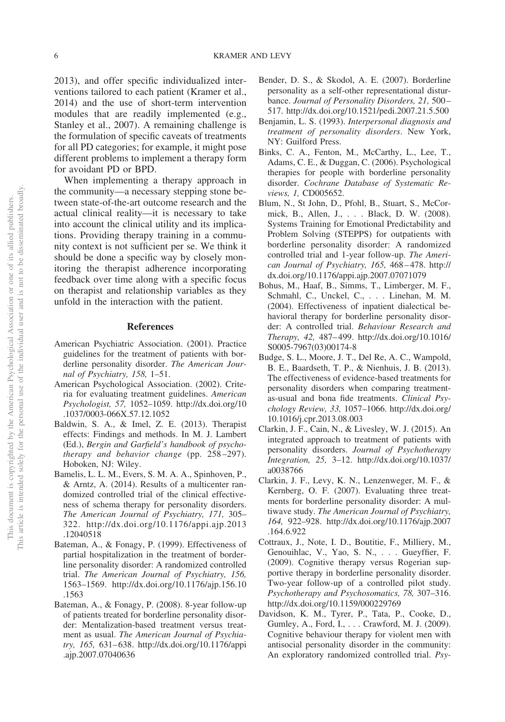2013), and offer specific individualized interventions tailored to each patient (Kramer et al., 2014) and the use of short-term intervention modules that are readily implemented (e.g., Stanley et al., 2007). A remaining challenge is the formulation of specific caveats of treatments for all PD categories; for example, it might pose different problems to implement a therapy form for avoidant PD or BPD.

When implementing a therapy approach in the community—a necessary stepping stone between state-of-the-art outcome research and the actual clinical reality—it is necessary to take into account the clinical utility and its implications. Providing therapy training in a community context is not sufficient per se. We think it should be done a specific way by closely monitoring the therapist adherence incorporating feedback over time along with a specific focus on therapist and relationship variables as they unfold in the interaction with the patient.

#### **References**

- American Psychiatric Association. (2001). Practice guidelines for the treatment of patients with borderline personality disorder. *The American Journal of Psychiatry, 158,* 1–51.
- American Psychological Association. (2002). Criteria for evaluating treatment guidelines. *American Psychologist, 57,* 1052–1059. http://dx.doi.org/10 .1037/0003-066X.57.12.1052
- Baldwin, S. A., & Imel, Z. E. (2013). Therapist effects: Findings and methods. In M. J. Lambert (Ed.), *Bergin and Garfield's handbook of psychotherapy and behavior change* (pp. 258 –297). Hoboken, NJ: Wiley.
- Bamelis, L. L. M., Evers, S. M. A. A., Spinhoven, P., & Arntz, A. (2014). Results of a multicenter randomized controlled trial of the clinical effectiveness of schema therapy for personality disorders. *The American Journal of Psychiatry, 171,* 305– 322. http://dx.doi.org/10.1176/appi.ajp.2013 .12040518
- Bateman, A., & Fonagy, P. (1999). Effectiveness of partial hospitalization in the treatment of borderline personality disorder: A randomized controlled trial. *The American Journal of Psychiatry, 156,* 1563–1569. http://dx.doi.org/10.1176/ajp.156.10 .1563
- Bateman, A., & Fonagy, P. (2008). 8-year follow-up of patients treated for borderline personality disorder: Mentalization-based treatment versus treatment as usual. *The American Journal of Psychiatry, 165,* 631– 638. http://dx.doi.org/10.1176/appi .ajp.2007.07040636
- Bender, D. S., & Skodol, A. E. (2007). Borderline personality as a self-other representational disturbance. *Journal of Personality Disorders, 21,* 500 – 517. http://dx.doi.org/10.1521/pedi.2007.21.5.500
- Benjamin, L. S. (1993). *Interpersonal diagnosis and treatment of personality disorders*. New York, NY: Guilford Press.
- Binks, C. A., Fenton, M., McCarthy, L., Lee, T., Adams, C. E., & Duggan, C. (2006). Psychological therapies for people with borderline personality disorder. *Cochrane Database of Systematic Reviews, 1,* CD005652.
- Blum, N., St John, D., Pfohl, B., Stuart, S., McCormick, B., Allen, J.,... Black, D. W. (2008). Systems Training for Emotional Predictability and Problem Solving (STEPPS) for outpatients with borderline personality disorder: A randomized controlled trial and 1-year follow-up. *The American Journal of Psychiatry, 165,* 468 – 478. http:// dx.doi.org/10.1176/appi.ajp.2007.07071079
- Bohus, M., Haaf, B., Simms, T., Limberger, M. F., Schmahl, C., Unckel, C.,... Linehan, M. M. (2004). Effectiveness of inpatient dialectical behavioral therapy for borderline personality disorder: A controlled trial. *Behaviour Research and Therapy, 42,* 487– 499. http://dx.doi.org/10.1016/ S0005-7967(03)00174-8
- Budge, S. L., Moore, J. T., Del Re, A. C., Wampold, B. E., Baardseth, T. P., & Nienhuis, J. B. (2013). The effectiveness of evidence-based treatments for personality disorders when comparing treatmentas-usual and bona fide treatments. *Clinical Psychology Review, 33,* 1057–1066. http://dx.doi.org/ 10.1016/j.cpr.2013.08.003
- Clarkin, J. F., Cain, N., & Livesley, W. J. (2015). An integrated approach to treatment of patients with personality disorders. *Journal of Psychotherapy Integration, 25,* 3–12. http://dx.doi.org/10.1037/ a0038766
- Clarkin, J. F., Levy, K. N., Lenzenweger, M. F., & Kernberg, O. F. (2007). Evaluating three treatments for borderline personality disorder: A multiwave study. *The American Journal of Psychiatry, 164,* 922–928. http://dx.doi.org/10.1176/ajp.2007 .164.6.922
- Cottraux, J., Note, I. D., Boutitie, F., Milliery, M., Genouihlac, V., Yao, S. N.,... Gueyffier, F. (2009). Cognitive therapy versus Rogerian supportive therapy in borderline personality disorder. Two-year follow-up of a controlled pilot study. *Psychotherapy and Psychosomatics, 78,* 307–316. http://dx.doi.org/10.1159/000229769
- Davidson, K. M., Tyrer, P., Tata, P., Cooke, D., Gumley, A., Ford, I.,... Crawford, M. J. (2009). Cognitive behaviour therapy for violent men with antisocial personality disorder in the community: An exploratory randomized controlled trial. *Psy-*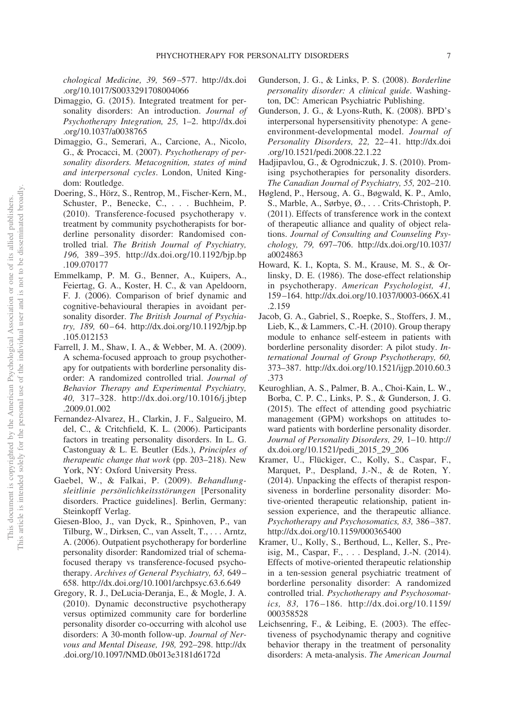*chological Medicine, 39,* 569 –577. http://dx.doi .org/10.1017/S0033291708004066

- Dimaggio, G. (2015). Integrated treatment for personality disorders: An introduction. *Journal of Psychotherapy Integration, 25,* 1–2. http://dx.doi .org/10.1037/a0038765
- Dimaggio, G., Semerari, A., Carcione, A., Nicolo, G., & Procacci, M. (2007). *Psychotherapy of personality disorders. Metacognition, states of mind and interpersonal cycles*. London, United Kingdom: Routledge.
- Doering, S., Hörz, S., Rentrop, M., Fischer-Kern, M., Schuster, P., Benecke, C.,... Buchheim, P. (2010). Transference-focused psychotherapy v. treatment by community psychotherapists for borderline personality disorder: Randomised controlled trial. *The British Journal of Psychiatry, 196,* 389 –395. http://dx.doi.org/10.1192/bjp.bp .109.070177
- Emmelkamp, P. M. G., Benner, A., Kuipers, A., Feiertag, G. A., Koster, H. C., & van Apeldoorn, F. J. (2006). Comparison of brief dynamic and cognitive-behavioural therapies in avoidant personality disorder. *The British Journal of Psychiatry, 189,* 60 – 64. http://dx.doi.org/10.1192/bjp.bp .105.012153
- Farrell, J. M., Shaw, I. A., & Webber, M. A. (2009). A schema-focused approach to group psychotherapy for outpatients with borderline personality disorder: A randomized controlled trial. *Journal of Behavior Therapy and Experimental Psychiatry, 40,* 317–328. http://dx.doi.org/10.1016/j.jbtep .2009.01.002
- Fernandez-Alvarez, H., Clarkin, J. F., Salgueiro, M. del, C., & Critchfield, K. L. (2006). Participants factors in treating personality disorders. In L. G. Castonguay & L. E. Beutler (Eds.), *Principles of therapeutic change that work* (pp. 203–218). New York, NY: Oxford University Press.
- Gaebel, W., & Falkai, P. (2009). *Behandlungsleitlinie persönlichkeitsstörungen* [Personality disorders. Practice guidelines]. Berlin, Germany: Steinkopff Verlag.
- Giesen-Bloo, J., van Dyck, R., Spinhoven, P., van Tilburg, W., Dirksen, C., van Asselt, T.,... Arntz, A. (2006). Outpatient psychotherapy for borderline personality disorder: Randomized trial of schemafocused therapy vs transference-focused psychotherapy. *Archives of General Psychiatry, 63,* 649 – 658. http://dx.doi.org/10.1001/archpsyc.63.6.649
- Gregory, R. J., DeLucia-Deranja, E., & Mogle, J. A. (2010). Dynamic deconstructive psychotherapy versus optimized community care for borderline personality disorder co-occurring with alcohol use disorders: A 30-month follow-up. *Journal of Nervous and Mental Disease, 198,* 292–298. http://dx .doi.org/10.1097/NMD.0b013e3181d6172d
- Gunderson, J. G., & Links, P. S. (2008). *Borderline personality disorder: A clinical guide*. Washington, DC: American Psychiatric Publishing.
- Gunderson, J. G., & Lyons-Ruth, K. (2008). BPD's interpersonal hypersensitivity phenotype: A geneenvironment-developmental model. *Journal of Personality Disorders, 22,* 22– 41. http://dx.doi .org/10.1521/pedi.2008.22.1.22
- Hadjipavlou, G., & Ogrodniczuk, J. S. (2010). Promising psychotherapies for personality disorders. *The Canadian Journal of Psychiatry, 55,* 202–210.
- Høglend, P., Hersoug, A. G., Bøgwald, K. P., Amlo, S., Marble, A., Sørbye, Ø.,... Crits-Christoph, P. (2011). Effects of transference work in the context of therapeutic alliance and quality of object relations. *Journal of Consulting and Counseling Psychology, 79,* 697–706. http://dx.doi.org/10.1037/ a0024863
- Howard, K. I., Kopta, S. M., Krause, M. S., & Orlinsky, D. E. (1986). The dose-effect relationship in psychotherapy. *American Psychologist, 41,* 159 –164. http://dx.doi.org/10.1037/0003-066X.41 .2.159
- Jacob, G. A., Gabriel, S., Roepke, S., Stoffers, J. M., Lieb, K., & Lammers, C.-H. (2010). Group therapy module to enhance self-esteem in patients with borderline personality disorder: A pilot study. *International Journal of Group Psychotherapy, 60,* 373–387. http://dx.doi.org/10.1521/ijgp.2010.60.3 .373
- Keuroghlian, A. S., Palmer, B. A., Choi-Kain, L. W., Borba, C. P. C., Links, P. S., & Gunderson, J. G. (2015). The effect of attending good psychiatric management (GPM) workshops on attitudes toward patients with borderline personality disorder. *Journal of Personality Disorders, 29,* 1–10. http:// dx.doi.org/10.1521/pedi\_2015\_29\_206
- Kramer, U., Flückiger, C., Kolly, S., Caspar, F., Marquet, P., Despland, J.-N., & de Roten, Y. (2014). Unpacking the effects of therapist responsiveness in borderline personality disorder: Motive-oriented therapeutic relationship, patient insession experience, and the therapeutic alliance. *Psychotherapy and Psychosomatics, 83,* 386 –387. http://dx.doi.org/10.1159/000365400
- Kramer, U., Kolly, S., Berthoud, L., Keller, S., Preisig, M., Caspar, F., . . . Despland, J.-N. (2014). Effects of motive-oriented therapeutic relationship in a ten-session general psychiatric treatment of borderline personality disorder: A randomized controlled trial. *Psychotherapy and Psychosomatics, 83,* 176 –186. http://dx.doi.org/10.1159/ 000358528
- Leichsenring, F., & Leibing, E. (2003). The effectiveness of psychodynamic therapy and cognitive behavior therapy in the treatment of personality disorders: A meta-analysis. *The American Journal*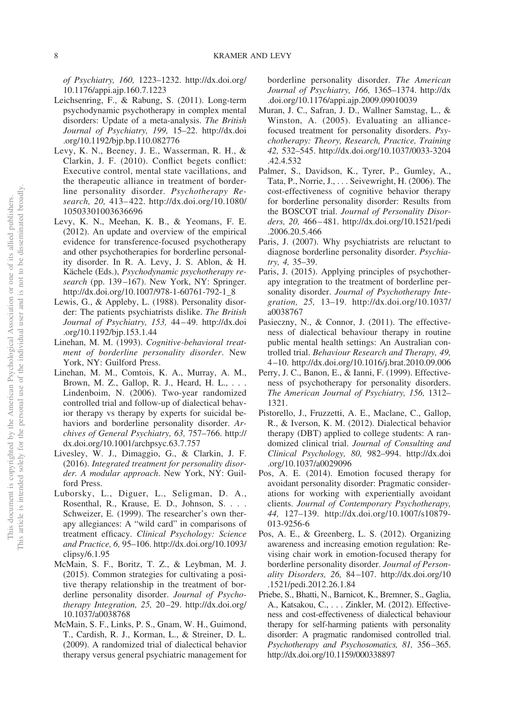*of Psychiatry, 160,* 1223–1232. http://dx.doi.org/ 10.1176/appi.ajp.160.7.1223

- Leichsenring, F., & Rabung, S. (2011). Long-term psychodynamic psychotherapy in complex mental disorders: Update of a meta-analysis. *The British Journal of Psychiatry, 199,* 15–22. http://dx.doi .org/10.1192/bjp.bp.110.082776
- Levy, K. N., Beeney, J. E., Wasserman, R. H., & Clarkin, J. F. (2010). Conflict begets conflict: Executive control, mental state vacillations, and the therapeutic alliance in treatment of borderline personality disorder. *Psychotherapy Research, 20,* 413– 422. http://dx.doi.org/10.1080/ 10503301003636696
- Levy, K. N., Meehan, K. B., & Yeomans, F. E. (2012). An update and overview of the empirical evidence for transference-focused psychotherapy and other psychotherapies for borderline personality disorder. In R. A. Levy, J. S. Ablon, & H. Kächele (Eds.), *Psychodynamic psychotherapy research* (pp. 139 –167). New York, NY: Springer. http://dx.doi.org/10.1007/978-1-60761-792-1\_8
- Lewis, G., & Appleby, L. (1988). Personality disorder: The patients psychiatrists dislike. *The British Journal of Psychiatry, 153,* 44 – 49. http://dx.doi .org/10.1192/bjp.153.1.44
- Linehan, M. M. (1993). *Cognitive-behavioral treatment of borderline personality disorder*. New York, NY: Guilford Press.
- Linehan, M. M., Comtois, K. A., Murray, A. M., Brown, M. Z., Gallop, R. J., Heard, H. L., . . . Lindenboim, N. (2006). Two-year randomized controlled trial and follow-up of dialectical behavior therapy vs therapy by experts for suicidal behaviors and borderline personality disorder. *Archives of General Psychiatry, 63,* 757–766. http:// dx.doi.org/10.1001/archpsyc.63.7.757
- Livesley, W. J., Dimaggio, G., & Clarkin, J. F. (2016). *Integrated treatment for personality disorder. A modular approach*. New York, NY: Guilford Press.
- Luborsky, L., Diguer, L., Seligman, D. A., Rosenthal, R., Krause, E. D., Johnson, S.... Schweizer, E. (1999). The researcher's own therapy allegiances: A "wild card" in comparisons of treatment efficacy. *Clinical Psychology: Science and Practice, 6,* 95–106. http://dx.doi.org/10.1093/ clipsy/6.1.95
- McMain, S. F., Boritz, T. Z., & Leybman, M. J. (2015). Common strategies for cultivating a positive therapy relationship in the treatment of borderline personality disorder. *Journal of Psychotherapy Integration, 25,* 20 –29. http://dx.doi.org/ 10.1037/a0038768
- McMain, S. F., Links, P. S., Gnam, W. H., Guimond, T., Cardish, R. J., Korman, L., & Streiner, D. L. (2009). A randomized trial of dialectical behavior therapy versus general psychiatric management for

borderline personality disorder. *The American Journal of Psychiatry, 166,* 1365–1374. http://dx .doi.org/10.1176/appi.ajp.2009.09010039

- Muran, J. C., Safran, J. D., Wallner Samstag, L., & Winston, A. (2005). Evaluating an alliancefocused treatment for personality disorders. *Psychotherapy: Theory, Research, Practice, Training 42,* 532–545. http://dx.doi.org/10.1037/0033-3204 .42.4.532
- Palmer, S., Davidson, K., Tyrer, P., Gumley, A., Tata, P., Norrie, J.,... Seivewright, H. (2006). The cost-effectiveness of cognitive behavior therapy for borderline personality disorder: Results from the BOSCOT trial. *Journal of Personality Disorders, 20,* 466 – 481. http://dx.doi.org/10.1521/pedi .2006.20.5.466
- Paris, J. (2007). Why psychiatrists are reluctant to diagnose borderline personality disorder. *Psychiatry, 4,* 35–39.
- Paris, J. (2015). Applying principles of psychotherapy integration to the treatment of borderline personality disorder. *Journal of Psychotherapy Integration, 25,* 13–19. http://dx.doi.org/10.1037/ a0038767
- Pasieczny, N., & Connor, J. (2011). The effectiveness of dialectical behaviour therapy in routine public mental health settings: An Australian controlled trial. *Behaviour Research and Therapy, 49,* 4 –10. http://dx.doi.org/10.1016/j.brat.2010.09.006
- Perry, J. C., Banon, E., & Ianni, F. (1999). Effectiveness of psychotherapy for personality disorders. *The American Journal of Psychiatry, 156,* 1312– 1321.
- Pistorello, J., Fruzzetti, A. E., Maclane, C., Gallop, R., & Iverson, K. M. (2012). Dialectical behavior therapy (DBT) applied to college students: A randomized clinical trial. *Journal of Consulting and Clinical Psychology, 80,* 982–994. http://dx.doi .org/10.1037/a0029096
- Pos, A. E. (2014). Emotion focused therapy for avoidant personality disorder: Pragmatic considerations for working with experientially avoidant clients. *Journal of Contemporary Psychotherapy, 44,* 127–139. http://dx.doi.org/10.1007/s10879- 013-9256-6
- Pos, A. E., & Greenberg, L. S. (2012). Organizing awareness and increasing emotion regulation: Revising chair work in emotion-focused therapy for borderline personality disorder. *Journal of Personality Disorders, 26,* 84 –107. http://dx.doi.org/10 .1521/pedi.2012.26.1.84
- Priebe, S., Bhatti, N., Barnicot, K., Bremner, S., Gaglia, A., Katsakou, C.,... Zinkler, M. (2012). Effectiveness and cost-effectiveness of dialectical behaviour therapy for self-harming patients with personality disorder: A pragmatic randomised controlled trial. *Psychotherapy and Psychosomatics, 81,* 356 –365. http://dx.doi.org/10.1159/000338897